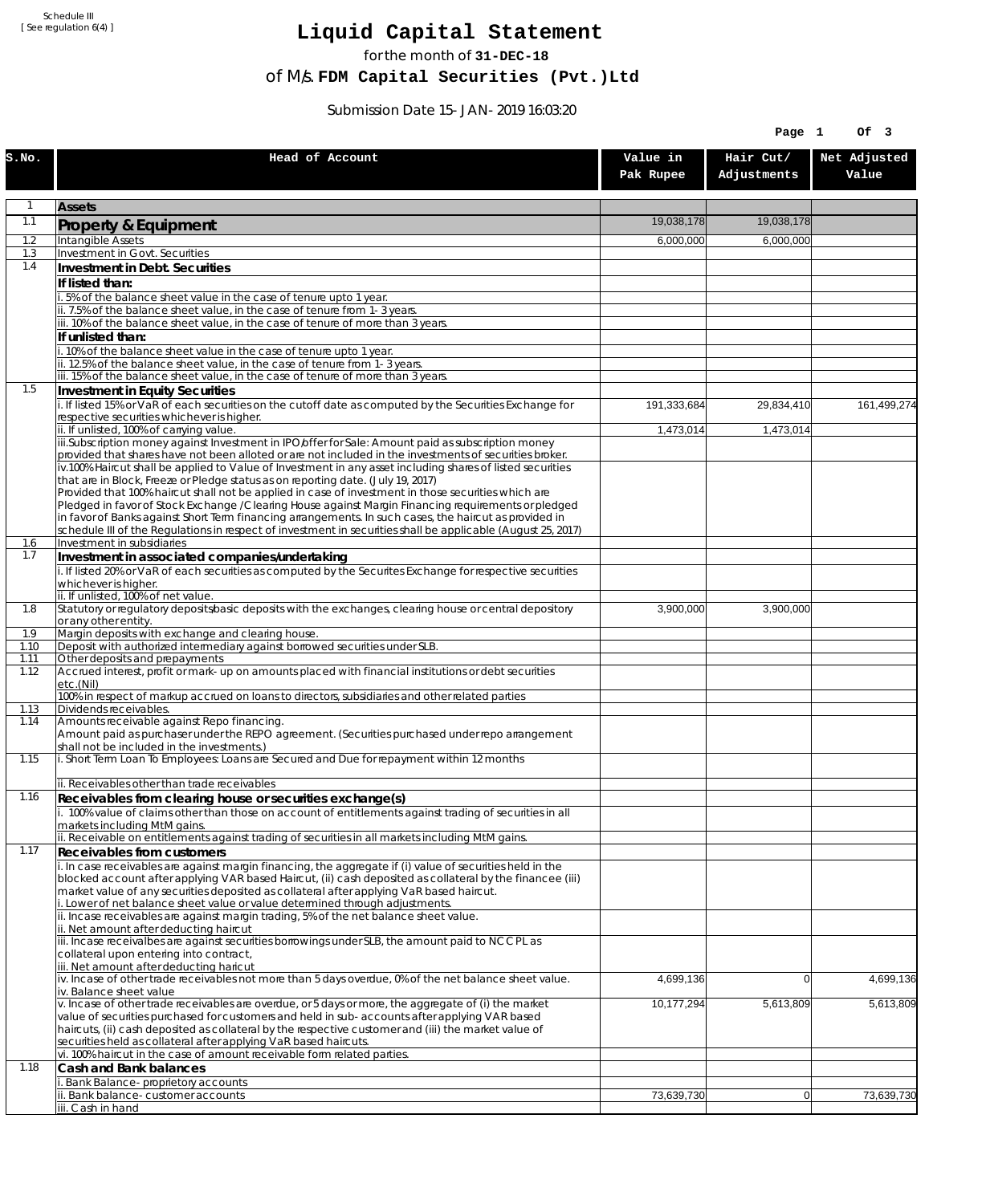Schedule III [ See regulation 6(4) ]

## **Liquid Capital Statement**

for the month of **31-DEC-18**

of M/s. **FDM Capital Securities (Pvt.)Ltd**

Submission Date 15-JAN-2019 16:03:20

|              |                                                                                                                                                                                                               | Page 1                |                          |                       |
|--------------|---------------------------------------------------------------------------------------------------------------------------------------------------------------------------------------------------------------|-----------------------|--------------------------|-----------------------|
| S.NO.        | Head of Account                                                                                                                                                                                               | Value in<br>Pak Rupee | Hair Cut/<br>Adjustments | Net Adjusted<br>Value |
| $\mathbf{1}$ | <b>Assets</b>                                                                                                                                                                                                 |                       |                          |                       |
| 1.1          | Property & Equipment                                                                                                                                                                                          | 19,038,178            | 19.038.178               |                       |
| 1.2          | <b>Intangible Assets</b>                                                                                                                                                                                      | 6,000,000             | 6,000,000                |                       |
| 1.3          | <b>Investment in Govt. Securities</b>                                                                                                                                                                         |                       |                          |                       |
| 1.4          | Investment in Debt. Securities<br>If listed than:                                                                                                                                                             |                       |                          |                       |
|              | 5% of the balance sheet value in the case of tenure upto 1 year.                                                                                                                                              |                       |                          |                       |
|              | ii. 7.5% of the balance sheet value, in the case of tenure from 1-3 years.                                                                                                                                    |                       |                          |                       |
|              | iii. 10% of the balance sheet value, in the case of tenure of more than 3 years.<br>If unlisted than:                                                                                                         |                       |                          |                       |
|              | .10% of the balance sheet value in the case of tenure upto 1 year.                                                                                                                                            |                       |                          |                       |
|              | ii. 12.5% of the balance sheet value, in the case of tenure from 1-3 years.                                                                                                                                   |                       |                          |                       |
| 1.5          | iii. 15% of the balance sheet value, in the case of tenure of more than 3 years.                                                                                                                              |                       |                          |                       |
|              | <b>Investment in Equity Securities</b><br>i. If listed 15% or VaR of each securities on the cutoff date as computed by the Securities Exchange for                                                            | 191,333,684           | 29,834,410               | 161,499,274           |
|              | respective securities whichever is higher.                                                                                                                                                                    |                       |                          |                       |
|              | ii. If unlisted, 100% of carrying value.                                                                                                                                                                      | 1,473,014             | 1,473,014                |                       |
|              | iii.Subscription money against Investment in IPO/offer for Sale: Amount paid as subscription money<br>provided that shares have not been alloted or are not included in the investments of securities broker. |                       |                          |                       |
|              | iv.100% Haircut shall be applied to Value of Investment in any asset including shares of listed securities                                                                                                    |                       |                          |                       |
|              | that are in Block, Freeze or Pledge status as on reporting date. (July 19, 2017)<br>Provided that 100% haircut shall not be applied in case of investment in those securities which are                       |                       |                          |                       |
|              | Pledged in favor of Stock Exchange / Clearing House against Margin Financing requirements or pledged                                                                                                          |                       |                          |                       |
|              | in favor of Banks against Short Term financing arrangements. In such cases, the haircut as provided in                                                                                                        |                       |                          |                       |
| 1.6          | schedule III of the Regulations in respect of investment in securities shall be applicable (August 25, 2017)<br>Investment in subsidiaries                                                                    |                       |                          |                       |
| 1.7          | Investment in associated companies/undertaking                                                                                                                                                                |                       |                          |                       |
|              | i. If listed 20% or VaR of each securities as computed by the Securites Exchange for respective securities                                                                                                    |                       |                          |                       |
|              | whichever is higher.<br>ii. If unlisted, 100% of net value.                                                                                                                                                   |                       |                          |                       |
| 1.8          | Statutory or regulatory deposits/basic deposits with the exchanges, clearing house or central depository                                                                                                      | 3,900,000             | 3,900,000                |                       |
|              | or any other entity.                                                                                                                                                                                          |                       |                          |                       |
| 1.9<br>1.10  | Margin deposits with exchange and clearing house.<br>Deposit with authorized intermediary against borrowed securities under SLB.                                                                              |                       |                          |                       |
| 1.11         | Other deposits and prepayments                                                                                                                                                                                |                       |                          |                       |
| 1.12         | Accrued interest, profit or mark-up on amounts placed with financial institutions or debt securities<br>etc.(Nil)                                                                                             |                       |                          |                       |
|              | 100% in respect of markup accrued on loans to directors, subsidiaries and other related parties                                                                                                               |                       |                          |                       |
| 1.13<br>1.14 | Dividends receivables.<br>Amounts receivable against Repo financing.                                                                                                                                          |                       |                          |                       |
|              | Amount paid as purchaser under the REPO agreement. (Securities purchased under repo arrangement<br>shall not be included in the investments.)                                                                 |                       |                          |                       |
| 1.15         | i. Short Term Loan To Employees: Loans are Secured and Due for repayment within 12 months                                                                                                                     |                       |                          |                       |
| 1.16         | ii. Receivables other than trade receivables<br>Receivables from clearing house or securities exchange(s)                                                                                                     |                       |                          |                       |
|              | i. 100% value of claims other than those on account of entitlements against trading of securities in all                                                                                                      |                       |                          |                       |
|              | markets including MtM gains.<br>ii. Receivable on entitlements against trading of securities in all markets including MtM gains.                                                                              |                       |                          |                       |
| 1.17         | Receivables from customers                                                                                                                                                                                    |                       |                          |                       |
|              | i. In case receivables are against margin financing, the aggregate if (i) value of securities held in the                                                                                                     |                       |                          |                       |
|              | blocked account after applying VAR based Haircut, (ii) cash deposited as collateral by the financee (iii)<br>market value of any securities deposited as collateral after applying VaR based haircut.         |                       |                          |                       |
|              | i. Lower of net balance sheet value or value determined through adjustments.                                                                                                                                  |                       |                          |                       |
|              | ii. Incase receivables are against margin trading, 5% of the net balance sheet value.<br>ii. Net amount after deducting haircut                                                                               |                       |                          |                       |
|              | iii. Incase receivalbes are against securities borrowings under SLB, the amount paid to NCCPL as                                                                                                              |                       |                          |                       |
|              | collateral upon entering into contract,                                                                                                                                                                       |                       |                          |                       |
|              | iii. Net amount after deducting haricut<br>iv. Incase of other trade receivables not more than 5 days overdue, 0% of the net balance sheet value.                                                             | 4,699,136             | $\Omega$                 | 4,699,136             |
|              | iv. Balance sheet value                                                                                                                                                                                       |                       |                          |                       |
|              | v. Incase of other trade receivables are overdue, or 5 days or more, the aggregate of (i) the market<br>value of securities purchased for customers and held in sub-accounts after applying VAR based         | 10,177,294            | 5,613,809                | 5,613,809             |
|              | haircuts, (ii) cash deposited as collateral by the respective customer and (iii) the market value of                                                                                                          |                       |                          |                       |
|              | securities held as collateral after applying VaR based haircuts.                                                                                                                                              |                       |                          |                       |
| 1.18         | vi. 100% haircut in the case of amount receivable form related parties.<br>Cash and Bank balances                                                                                                             |                       |                          |                       |
|              | Bank Balance-proprietory accounts                                                                                                                                                                             |                       |                          |                       |
|              | Bank balance-customer accounts                                                                                                                                                                                | 73,639,730            | 0                        | 73,639,730            |
|              | iii. Cash in hand                                                                                                                                                                                             |                       |                          |                       |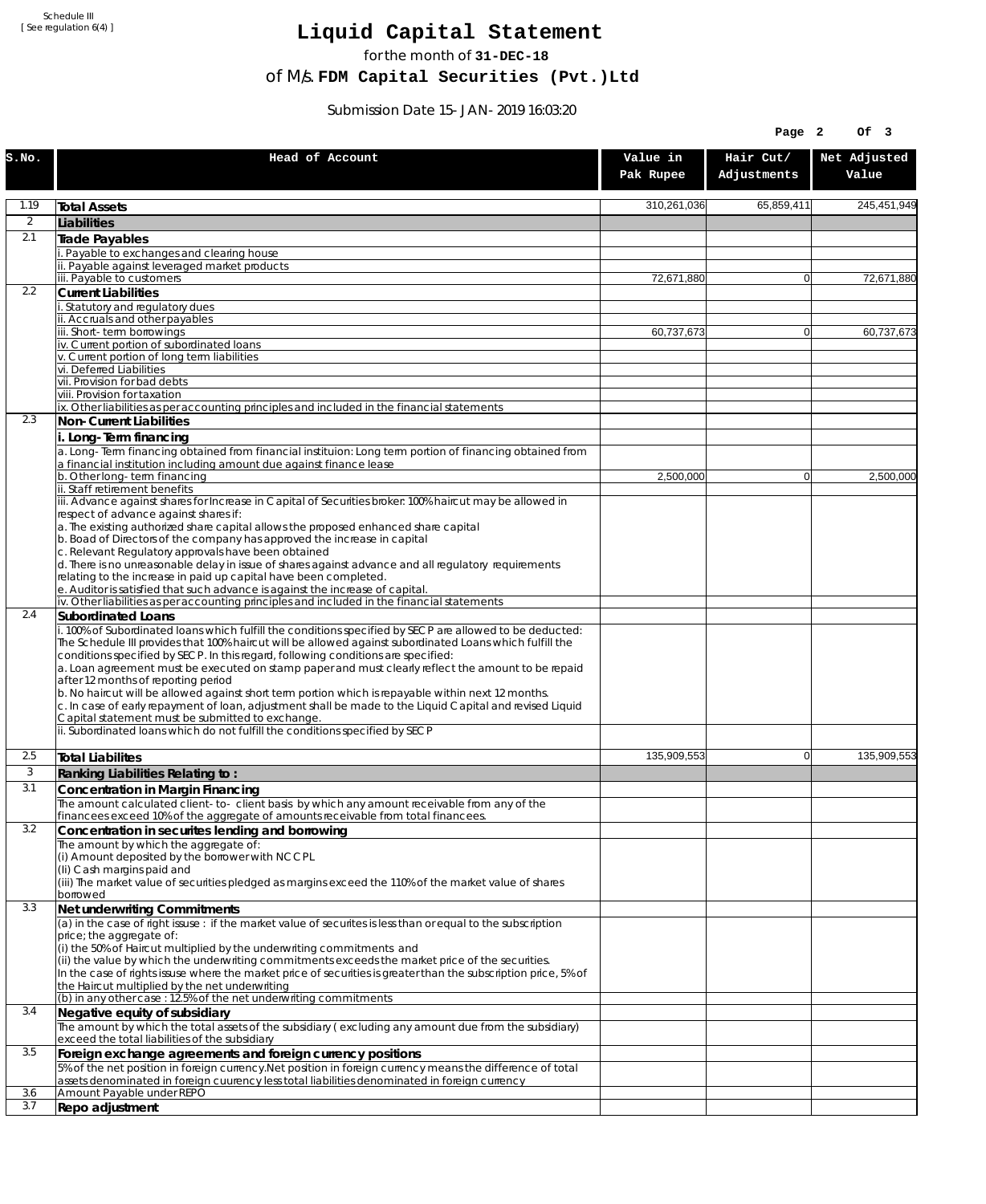Schedule III [ See regulation 6(4) ]

## **Liquid Capital Statement**

for the month of **31-DEC-18**

of M/s. **FDM Capital Securities (Pvt.)Ltd**

Submission Date 15-JAN-2019 16:03:20

|                |                                                                                                                                                                                                                                                                                                                                                                                                                                                                                                                                                                                                                                                                                                                             |                       | Page 2                   | Of 3                  |
|----------------|-----------------------------------------------------------------------------------------------------------------------------------------------------------------------------------------------------------------------------------------------------------------------------------------------------------------------------------------------------------------------------------------------------------------------------------------------------------------------------------------------------------------------------------------------------------------------------------------------------------------------------------------------------------------------------------------------------------------------------|-----------------------|--------------------------|-----------------------|
| S.NO.          | Head of Account                                                                                                                                                                                                                                                                                                                                                                                                                                                                                                                                                                                                                                                                                                             | Value in<br>Pak Rupee | Hair Cut/<br>Adjustments | Net Adjusted<br>Value |
| 1.19           | <b>Total Assets</b>                                                                                                                                                                                                                                                                                                                                                                                                                                                                                                                                                                                                                                                                                                         | 310,261,036           | 65,859,411               | 245,451,949           |
| $\overline{2}$ | Liabilities                                                                                                                                                                                                                                                                                                                                                                                                                                                                                                                                                                                                                                                                                                                 |                       |                          |                       |
| 2.1            | Trade Payables                                                                                                                                                                                                                                                                                                                                                                                                                                                                                                                                                                                                                                                                                                              |                       |                          |                       |
|                | Payable to exchanges and clearing house                                                                                                                                                                                                                                                                                                                                                                                                                                                                                                                                                                                                                                                                                     |                       |                          |                       |
|                | . Payable against leveraged market products<br>iii. Payable to customers                                                                                                                                                                                                                                                                                                                                                                                                                                                                                                                                                                                                                                                    | 72.671.880            | $\overline{0}$           | 72,671,880            |
| 2.2            | <b>Current Liabilities</b>                                                                                                                                                                                                                                                                                                                                                                                                                                                                                                                                                                                                                                                                                                  |                       |                          |                       |
|                | Statutory and regulatory dues<br>ii. Accruals and other payables                                                                                                                                                                                                                                                                                                                                                                                                                                                                                                                                                                                                                                                            |                       |                          |                       |
|                | ii. Short-term borrowings                                                                                                                                                                                                                                                                                                                                                                                                                                                                                                                                                                                                                                                                                                   | 60,737,673            | $\overline{0}$           | 60,737,673            |
|                | iv. Current portion of subordinated loans                                                                                                                                                                                                                                                                                                                                                                                                                                                                                                                                                                                                                                                                                   |                       |                          |                       |
|                | v. Current portion of long term liabilities<br>vi. Deferred Liabilities                                                                                                                                                                                                                                                                                                                                                                                                                                                                                                                                                                                                                                                     |                       |                          |                       |
|                | vii. Provision for bad debts                                                                                                                                                                                                                                                                                                                                                                                                                                                                                                                                                                                                                                                                                                |                       |                          |                       |
|                | viii. Provision for taxation                                                                                                                                                                                                                                                                                                                                                                                                                                                                                                                                                                                                                                                                                                |                       |                          |                       |
| 2.3            | ix. Other liabilities as per accounting principles and included in the financial statements<br>Non-Current Liabilities                                                                                                                                                                                                                                                                                                                                                                                                                                                                                                                                                                                                      |                       |                          |                       |
|                | i. Long-Term financing                                                                                                                                                                                                                                                                                                                                                                                                                                                                                                                                                                                                                                                                                                      |                       |                          |                       |
|                | a. Long-Term financing obtained from financial instituion: Long term portion of financing obtained from<br>a financial institution including amount due against finance lease                                                                                                                                                                                                                                                                                                                                                                                                                                                                                                                                               |                       |                          |                       |
|                | b. Other long-term financing                                                                                                                                                                                                                                                                                                                                                                                                                                                                                                                                                                                                                                                                                                | 2,500,000             | $\overline{0}$           | 2,500,000             |
|                | ii. Staff retirement benefits<br>iii. Advance against shares for Increase in Capital of Securities broker: 100% haircut may be allowed in                                                                                                                                                                                                                                                                                                                                                                                                                                                                                                                                                                                   |                       |                          |                       |
|                | respect of advance against shares if:                                                                                                                                                                                                                                                                                                                                                                                                                                                                                                                                                                                                                                                                                       |                       |                          |                       |
|                | a. The existing authorized share capital allows the proposed enhanced share capital<br>b. Boad of Directors of the company has approved the increase in capital                                                                                                                                                                                                                                                                                                                                                                                                                                                                                                                                                             |                       |                          |                       |
|                | c. Relevant Regulatory approvals have been obtained                                                                                                                                                                                                                                                                                                                                                                                                                                                                                                                                                                                                                                                                         |                       |                          |                       |
|                | d. There is no unreasonable delay in issue of shares against advance and all regulatory requirements                                                                                                                                                                                                                                                                                                                                                                                                                                                                                                                                                                                                                        |                       |                          |                       |
|                | relating to the increase in paid up capital have been completed.<br>e. Auditor is satisfied that such advance is against the increase of capital.                                                                                                                                                                                                                                                                                                                                                                                                                                                                                                                                                                           |                       |                          |                       |
|                | iv. Other liabilities as per accounting principles and included in the financial statements                                                                                                                                                                                                                                                                                                                                                                                                                                                                                                                                                                                                                                 |                       |                          |                       |
| 2.4            | Subordinated Loans                                                                                                                                                                                                                                                                                                                                                                                                                                                                                                                                                                                                                                                                                                          |                       |                          |                       |
|                | . 100% of Subordinated loans which fulfill the conditions specified by SECP are allowed to be deducted:<br>The Schedule III provides that 100% haircut will be allowed against subordinated Loans which fulfill the<br>conditions specified by SECP. In this regard, following conditions are specified:<br>a. Loan agreement must be executed on stamp paper and must clearly reflect the amount to be repaid<br>after 12 months of reporting period<br>b. No haircut will be allowed against short term portion which is repayable within next 12 months.<br>c. In case of early repayment of loan, adjustment shall be made to the Liquid Capital and revised Liquid<br>Capital statement must be submitted to exchange. |                       |                          |                       |
|                | ii. Subordinated loans which do not fulfill the conditions specified by SECP                                                                                                                                                                                                                                                                                                                                                                                                                                                                                                                                                                                                                                                |                       |                          |                       |
| 2.5            | <b>Total Liabilites</b>                                                                                                                                                                                                                                                                                                                                                                                                                                                                                                                                                                                                                                                                                                     | 135,909,553           | $\mathbf{0}$             | 135,909,553           |
| 3              | Ranking Liabilities Relating to:                                                                                                                                                                                                                                                                                                                                                                                                                                                                                                                                                                                                                                                                                            |                       |                          |                       |
| 3.1            | Concentration in Margin Financing                                                                                                                                                                                                                                                                                                                                                                                                                                                                                                                                                                                                                                                                                           |                       |                          |                       |
|                | The amount calculated client-to- client basis by which any amount receivable from any of the                                                                                                                                                                                                                                                                                                                                                                                                                                                                                                                                                                                                                                |                       |                          |                       |
|                | financees exceed 10% of the aggregate of amounts receivable from total financees.                                                                                                                                                                                                                                                                                                                                                                                                                                                                                                                                                                                                                                           |                       |                          |                       |
| 3.2            | Concentration in securites lending and borrowing<br>The amount by which the aggregate of:                                                                                                                                                                                                                                                                                                                                                                                                                                                                                                                                                                                                                                   |                       |                          |                       |
|                | (i) Amount deposited by the borrower with NCCPL                                                                                                                                                                                                                                                                                                                                                                                                                                                                                                                                                                                                                                                                             |                       |                          |                       |
|                | (Ii) Cash margins paid and                                                                                                                                                                                                                                                                                                                                                                                                                                                                                                                                                                                                                                                                                                  |                       |                          |                       |
|                | (iii) The market value of securities pledged as margins exceed the 110% of the market value of shares<br>borrowed                                                                                                                                                                                                                                                                                                                                                                                                                                                                                                                                                                                                           |                       |                          |                       |
| 3.3            | Net underwriting Commitments                                                                                                                                                                                                                                                                                                                                                                                                                                                                                                                                                                                                                                                                                                |                       |                          |                       |
|                | (a) in the case of right issuse: if the market value of securites is less than or equal to the subscription                                                                                                                                                                                                                                                                                                                                                                                                                                                                                                                                                                                                                 |                       |                          |                       |
|                | price; the aggregate of:<br>(i) the 50% of Haircut multiplied by the underwriting commitments and                                                                                                                                                                                                                                                                                                                                                                                                                                                                                                                                                                                                                           |                       |                          |                       |
|                | (ii) the value by which the underwriting commitments exceeds the market price of the securities.<br>In the case of rights issuse where the market price of securities is greater than the subscription price, 5% of                                                                                                                                                                                                                                                                                                                                                                                                                                                                                                         |                       |                          |                       |
|                | the Haircut multiplied by the net underwriting                                                                                                                                                                                                                                                                                                                                                                                                                                                                                                                                                                                                                                                                              |                       |                          |                       |
| 3.4            | (b) in any other case: 12.5% of the net underwriting commitments<br>Negative equity of subsidiary                                                                                                                                                                                                                                                                                                                                                                                                                                                                                                                                                                                                                           |                       |                          |                       |
| 3.5            | The amount by which the total assets of the subsidiary (excluding any amount due from the subsidiary)                                                                                                                                                                                                                                                                                                                                                                                                                                                                                                                                                                                                                       |                       |                          |                       |
|                | exceed the total liabilities of the subsidiary                                                                                                                                                                                                                                                                                                                                                                                                                                                                                                                                                                                                                                                                              |                       |                          |                       |
|                | Foreign exchange agreements and foreign currency positions                                                                                                                                                                                                                                                                                                                                                                                                                                                                                                                                                                                                                                                                  |                       |                          |                       |
|                | 5% of the net position in foreign currency. Net position in foreign currency means the difference of total<br>assets denominated in foreign cuurency less total liabilities denominated in foreign currency                                                                                                                                                                                                                                                                                                                                                                                                                                                                                                                 |                       |                          |                       |
| 3.6            | Amount Payable under REPO                                                                                                                                                                                                                                                                                                                                                                                                                                                                                                                                                                                                                                                                                                   |                       |                          |                       |
| 3.7            | Repo adjustment                                                                                                                                                                                                                                                                                                                                                                                                                                                                                                                                                                                                                                                                                                             |                       |                          |                       |